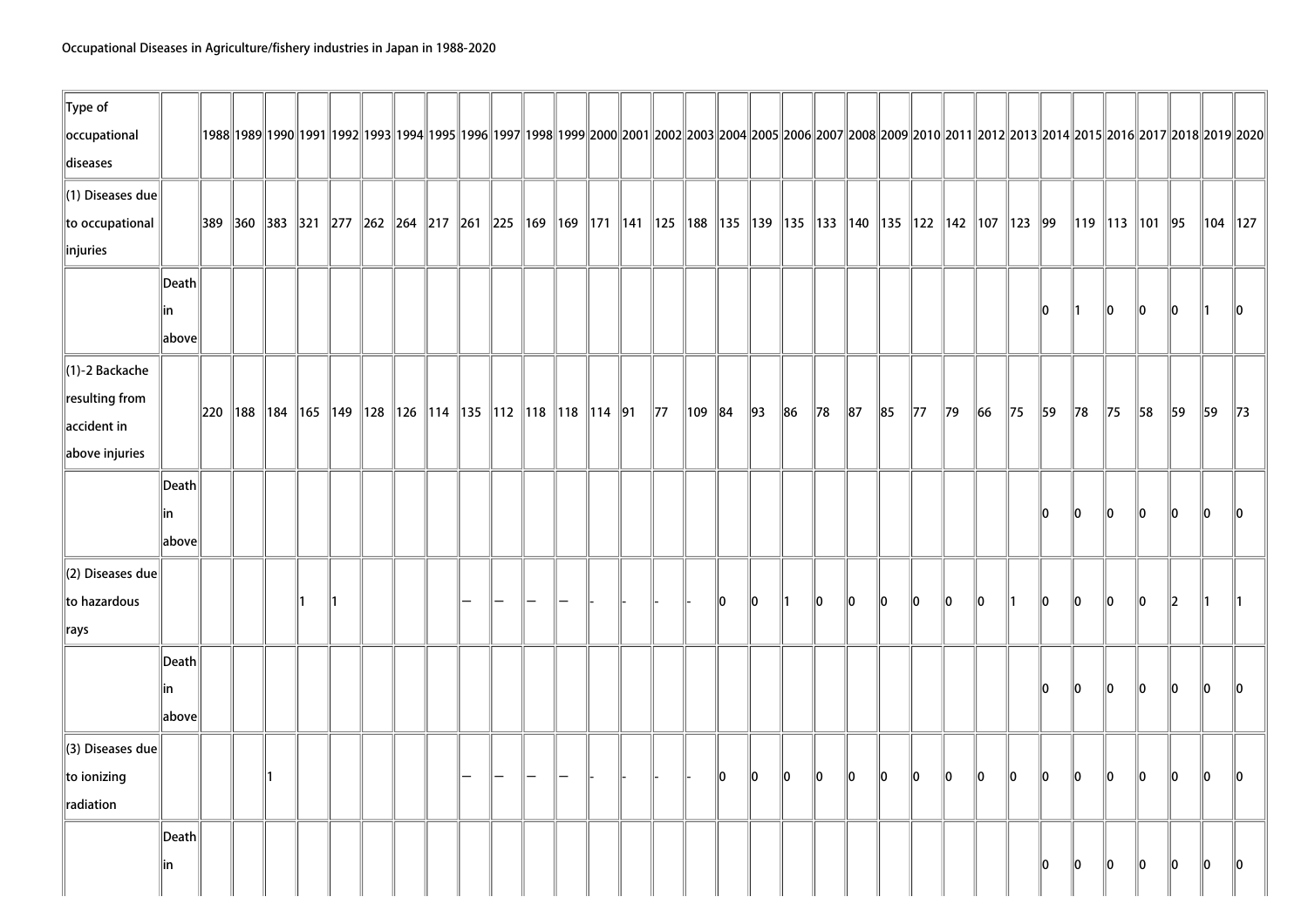| $\ $ Type of<br>occupational<br>diseases                                                       |                                                      |  |  |  |  |                                                                                  |  |  |                |             |    |                |         |                |                                                                                                                                      |         |                |                |         |                |               |                |                      |             | 1988  1989  1990  1991  1992  1993  1994  1995  1996  1997  1998  1999  2000  2001  2002  2003  2004  2005  2006  2007  2008  2009  2010  2011  2012  2013  2014  2015  2016  2017  2018  2019  2020 |               |                |
|------------------------------------------------------------------------------------------------|------------------------------------------------------|--|--|--|--|----------------------------------------------------------------------------------|--|--|----------------|-------------|----|----------------|---------|----------------|--------------------------------------------------------------------------------------------------------------------------------------|---------|----------------|----------------|---------|----------------|---------------|----------------|----------------------|-------------|------------------------------------------------------------------------------------------------------------------------------------------------------------------------------------------------------|---------------|----------------|
| (1) Diseases due<br>to occupational<br>$\ $ injuries                                           |                                                      |  |  |  |  |                                                                                  |  |  |                |             |    |                |         |                | 389  360  383  321  277  262  264  217  261  225  169  169  171  141  125  188  135  139  135  133  140  135  122  142  107  123  99 |         |                |                |         |                |               |                | 119   113   101   95 |             |                                                                                                                                                                                                      |               | $\ 104\ 127\ $ |
|                                                                                                | $\vert$ Death $\vert$<br> in<br>above                |  |  |  |  |                                                                                  |  |  |                |             |    |                |         |                |                                                                                                                                      |         |                |                |         |                | llo.          | $\parallel$ 1  | $\ 0\ $              | $\ 0\ $     | $\ 0\ $                                                                                                                                                                                              | $\parallel$ 1 | $\mathbf{0}$   |
| $\parallel$ (1)-2 Backache<br>$\ $ resulting from<br>$\parallel$ accident in<br>above injuries |                                                      |  |  |  |  | 220   188   184   165   149   128   126   114   135   112   118   118   114   91 |  |  | $\parallel$ 77 | $\ 109\ 84$ |    | $\parallel$ 93 | $\ 86$  | $\parallel$ 78 | $\ 87$                                                                                                                               | $\ 85$  | $\parallel$ 77 | $\parallel$ 79 | 66      | $\parallel$ 75 | 59            | $\parallel$ 78 | $\parallel$ 75       | 58          | 59                                                                                                                                                                                                   | 59            | $\parallel$ 73 |
|                                                                                                | Death<br>lin<br>$\left\Vert \text{above}\right\Vert$ |  |  |  |  |                                                                                  |  |  |                |             |    |                |         |                |                                                                                                                                      |         |                |                |         |                | 10            | 10             | 10                   | 10          | 10                                                                                                                                                                                                   | llo.          | llo.           |
| $\vert$ (2) Diseases due<br>to hazardous<br>$\parallel$ rays                                   |                                                      |  |  |  |  |                                                                                  |  |  |                |             | 10 | llo.           | ∥1      | llo.           | $\parallel$ 0                                                                                                                        | 10      | $\parallel$ 0  | 10             | llo.    | $\parallel$ 1  | $\parallel$ 0 | $\parallel$ 0  | $\parallel$ 0        | $\ 0\ $     | $\parallel$ 2                                                                                                                                                                                        | ∥1            | $\parallel$ 1  |
|                                                                                                | Death<br>lin<br>above                                |  |  |  |  |                                                                                  |  |  |                |             |    |                |         |                |                                                                                                                                      |         |                |                |         |                | 10            | $\ 0\ $        | $\ 0\ $              | $ 0\rangle$ | $\parallel$ 0                                                                                                                                                                                        | $\ 0\ $       | 10             |
| (3) Diseases due<br>$\ $ to ionizing<br>radiation                                              |                                                      |  |  |  |  |                                                                                  |  |  |                |             | 10 | $\ 0\ $        | $\ 0\ $ | $ 0\rangle$    | $\ 0\ $                                                                                                                              | $\ 0\ $ | $ 0\rangle$    | $\ 0\ $        | $\ 0\ $ | $\ 0\ $        | $\ 0\ $       | $\ 0\ $        | $\ 0\ $              | $\ 0\ $     | $\ 0\ $                                                                                                                                                                                              | $\ 0\ $       | $\ 0\ $        |
|                                                                                                | Death<br> in                                         |  |  |  |  |                                                                                  |  |  |                |             |    |                |         |                |                                                                                                                                      |         |                |                |         |                | 10            | $\ 0\ $        | $\ 0\ $              | $\ 0\ $     | $\ 0\ $                                                                                                                                                                                              | $\ 0\ $       | $\ 0\ $        |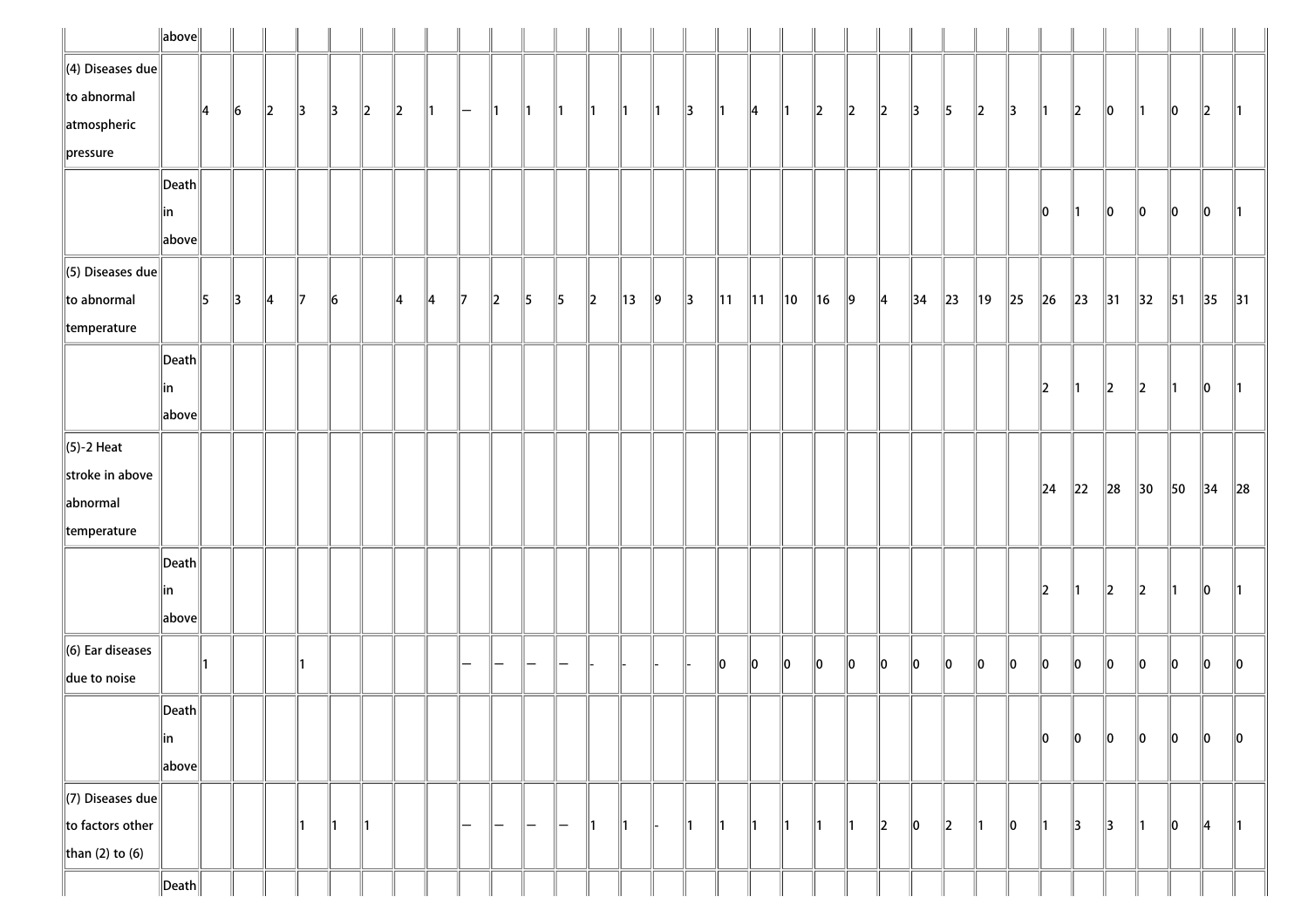|                              | $\ $ above $\ $       |               |               |               |               |                 |               |         |    |                   |                          |               |                   |               |               |               |               |                |                |                |         |           |               |            |          |                |          |          |                |                |                |                |                |                |
|------------------------------|-----------------------|---------------|---------------|---------------|---------------|-----------------|---------------|---------|----|-------------------|--------------------------|---------------|-------------------|---------------|---------------|---------------|---------------|----------------|----------------|----------------|---------|-----------|---------------|------------|----------|----------------|----------|----------|----------------|----------------|----------------|----------------|----------------|----------------|
| $\ $ (4) Diseases due        |                       |               |               |               |               |                 |               |         |    |                   |                          |               |                   |               |               |               |               |                |                |                |         |           |               |            |          |                |          |          |                |                |                |                |                |                |
| $\ $ to abnormal             |                       | $\parallel$ 4 | $\vert$ 6     | $\ 2\ $       | $\parallel$ 3 | $\parallel$ 3   | $\ 2\ $       | $\ 2\ $ | ∥1 | $\qquad \qquad -$ | ∥1                       | $\parallel$ 1 | $\mathsf{I}$      | $\mathbf{11}$ | $\parallel$ 1 | $\parallel$ 1 | $\parallel$ 3 | $\parallel$ 1  | 14             | $\parallel$ 1  | $\ 2\ $ | 12        | 12            | 13         | 15       | $\ 2\ $        | 3        | ∥1       | $\parallel$ 2  | 10             | 11             | 10             | $\parallel$ 2  | $\parallel$ 1  |
| atmospheric                  |                       |               |               |               |               |                 |               |         |    |                   |                          |               |                   |               |               |               |               |                |                |                |         |           |               |            |          |                |          |          |                |                |                |                |                |                |
| $\ $ pressure                |                       |               |               |               |               |                 |               |         |    |                   |                          |               |                   |               |               |               |               |                |                |                |         |           |               |            |          |                |          |          |                |                |                |                |                |                |
|                              | $\vert$ Death $\vert$ |               |               |               |               |                 |               |         |    |                   |                          |               |                   |               |               |               |               |                |                |                |         |           |               |            |          |                |          |          |                |                |                |                |                |                |
|                              | in                    |               |               |               |               |                 |               |         |    |                   |                          |               |                   |               |               |               |               |                |                |                |         |           |               |            |          |                |          | 10       | 11             | 10             | 10             | 10             | 10             | $\parallel$ 1  |
|                              | above                 |               |               |               |               |                 |               |         |    |                   |                          |               |                   |               |               |               |               |                |                |                |         |           |               |            |          |                |          |          |                |                |                |                |                |                |
| $\ $ (5) Diseases due        |                       |               |               |               |               |                 |               |         |    |                   |                          |               |                   |               |               |               |               |                |                |                |         |           |               |            |          |                |          |          |                |                |                |                |                |                |
| $\ $ to abnormal             |                       | 5             | $\parallel$ 3 | $\parallel$ 4 | $\parallel$ 7 | $\vert 6 \vert$ |               | ∥4      | ∥4 | $\parallel$ 7     | $\parallel$ 2            | $\parallel$ 5 | $\parallel$ 5     | $\ 2\ $       | 13            | $\vert$ 9     | $\parallel$ 3 | $\parallel$ 11 | $\parallel$ 11 | $\parallel$ 10 | $\ $ 16 | $\vert$ 9 | $\parallel$ 4 | $\vert$ 34 | $\ 23\ $ | $\parallel$ 19 | $\ 25\ $ | $\ 26\ $ | $\parallel$ 23 | $\parallel$ 31 | $\parallel$ 32 | $\parallel$ 51 | $\parallel$ 35 | $\parallel$ 31 |
| $\parallel$ temperature      |                       |               |               |               |               |                 |               |         |    |                   |                          |               |                   |               |               |               |               |                |                |                |         |           |               |            |          |                |          |          |                |                |                |                |                |                |
|                              | $\vert$ Death $\vert$ |               |               |               |               |                 |               |         |    |                   |                          |               |                   |               |               |               |               |                |                |                |         |           |               |            |          |                |          |          |                |                |                |                |                |                |
|                              | in                    |               |               |               |               |                 |               |         |    |                   |                          |               |                   |               |               |               |               |                |                |                |         |           |               |            |          |                |          | 2        | 11             | $\parallel$ 2  | 2              |                | 10             | $\parallel$ 1  |
|                              | above                 |               |               |               |               |                 |               |         |    |                   |                          |               |                   |               |               |               |               |                |                |                |         |           |               |            |          |                |          |          |                |                |                |                |                |                |
| $\ $ (5)-2 Heat              |                       |               |               |               |               |                 |               |         |    |                   |                          |               |                   |               |               |               |               |                |                |                |         |           |               |            |          |                |          |          |                |                |                |                |                |                |
| stroke in above              |                       |               |               |               |               |                 |               |         |    |                   |                          |               |                   |               |               |               |               |                |                |                |         |           |               |            |          |                |          |          |                |                |                |                |                |                |
| abnormal                     |                       |               |               |               |               |                 |               |         |    |                   |                          |               |                   |               |               |               |               |                |                |                |         |           |               |            |          |                |          | $\ 24$   | $\ 22\ $       | $\ 28$         | 30             | 50             | 34             | $\ 28$         |
| temperature                  |                       |               |               |               |               |                 |               |         |    |                   |                          |               |                   |               |               |               |               |                |                |                |         |           |               |            |          |                |          |          |                |                |                |                |                |                |
|                              | $\vert$ Death $\vert$ |               |               |               |               |                 |               |         |    |                   |                          |               |                   |               |               |               |               |                |                |                |         |           |               |            |          |                |          |          |                |                |                |                |                |                |
|                              | in                    |               |               |               |               |                 |               |         |    |                   |                          |               |                   |               |               |               |               |                |                |                |         |           |               |            |          |                |          | 12       | ∥1             | $\ 2\ $        | 2              | 11             | 10             | $\parallel$ 1  |
|                              | above                 |               |               |               |               |                 |               |         |    |                   |                          |               |                   |               |               |               |               |                |                |                |         |           |               |            |          |                |          |          |                |                |                |                |                |                |
| $\parallel$ (6) Ear diseases |                       |               |               |               |               |                 |               |         |    |                   |                          |               |                   |               |               |               |               |                |                |                |         |           |               |            |          |                |          |          |                |                |                |                |                |                |
| due to noise                 |                       |               |               |               | 11            |                 |               |         |    |                   |                          |               |                   |               |               |               |               | 10             | 10             | $\ 0\ $        | 10      | 10        | 10            | 10         | 10       | llo            | 10       | llo      | ∥o             | $\ 0\ $        | 10             | 10             | 10             | $\ 0\ $        |
|                              | $\ $ Death $\ $       |               |               |               |               |                 |               |         |    |                   |                          |               |                   |               |               |               |               |                |                |                |         |           |               |            |          |                |          |          |                |                |                |                |                |                |
|                              | ∥in                   |               |               |               |               |                 |               |         |    |                   |                          |               |                   |               |               |               |               |                |                |                |         |           |               |            |          |                |          | 10       | ∥o             | $\ 0\ $        | 10             | 10             | 10             | 10             |
|                              | above                 |               |               |               |               |                 |               |         |    |                   |                          |               |                   |               |               |               |               |                |                |                |         |           |               |            |          |                |          |          |                |                |                |                |                |                |
| $\Vert$ (7) Diseases due     |                       |               |               |               |               |                 |               |         |    |                   |                          |               |                   |               |               |               |               |                |                |                |         |           |               |            |          |                |          |          |                |                |                |                |                |                |
| $\ $ to factors other        |                       |               |               |               | ∥1            | $\parallel$ 1   | $\parallel$ 1 |         |    | -                 | $\overline{\phantom{a}}$ | $\mathsf{l}$  | $\qquad \qquad -$ | $\mathbf{11}$ | $\parallel$ 1 | ⊪             | $\parallel$ 1 | $\parallel$ 1  | $\parallel$ 1  | $\parallel$ 1  | 1       | 11        | 2             | 10         | 12       | ∥1             | 10       | ∥1       | 3              | 3              | 11             | 10             | 4              | $\parallel$ 1  |
| than (2) to (6)              |                       |               |               |               |               |                 |               |         |    |                   |                          |               |                   |               |               |               |               |                |                |                |         |           |               |            |          |                |          |          |                |                |                |                |                |                |
|                              |                       |               |               |               |               |                 |               |         |    |                   |                          |               |                   |               |               |               |               |                |                |                |         |           |               |            |          |                |          |          |                |                |                |                |                |                |
|                              | $\ $ Death $\ $       |               |               |               |               |                 |               |         |    |                   |                          |               |                   |               |               |               |               |                |                |                |         |           |               |            |          |                |          |          |                |                |                |                |                |                |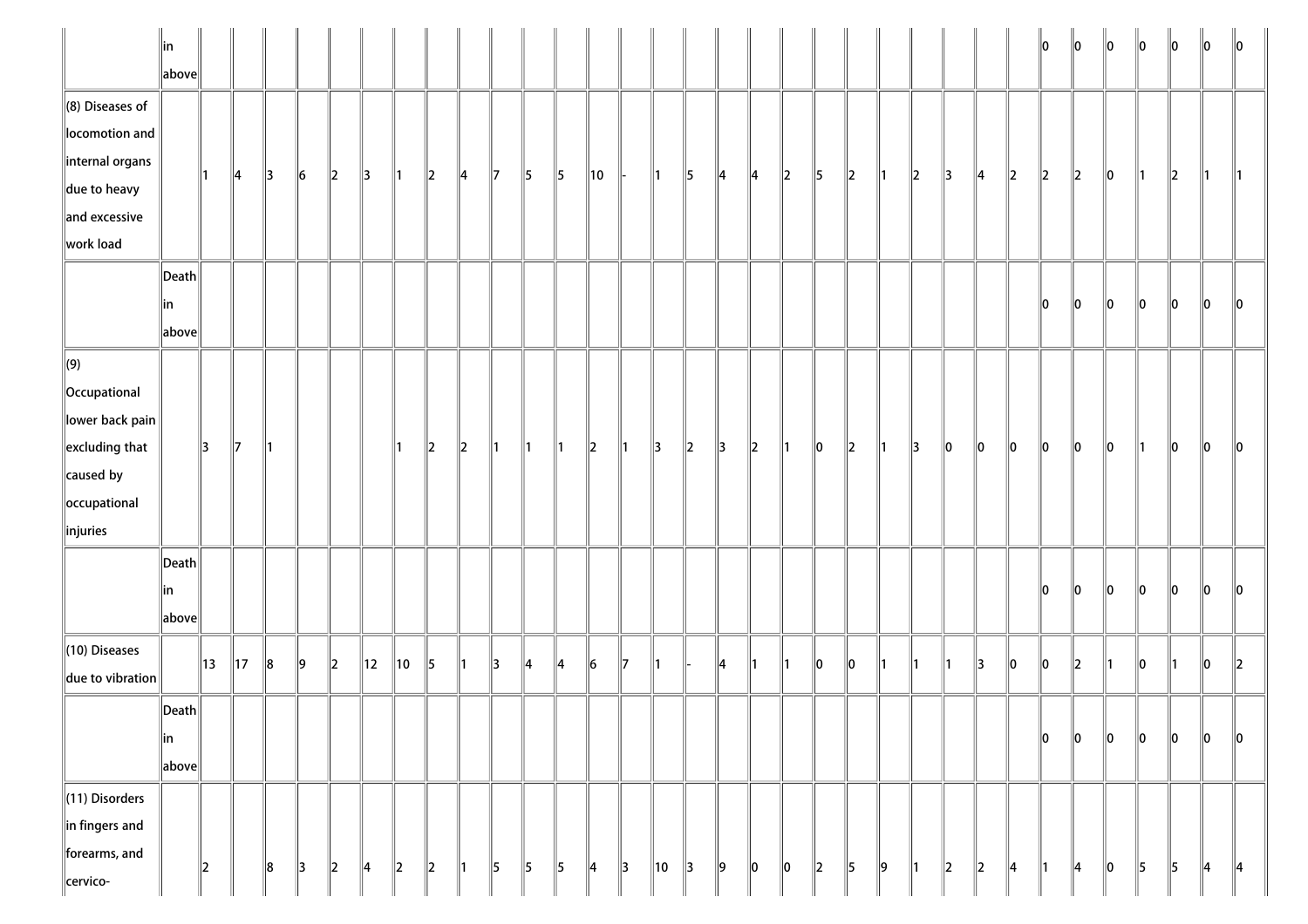|                                                                                                                                            | $\parallel$ in<br>$\ $ above $\ $         |    |    |    |               |           |               |         |         |               |              |               |               |               |    |               |         |               |         |         |         |               |         |               |               |               |               | llo           | $\ 0\ $       | $\ 0\ $ | $\ 0\ $       | $\ 0\ $       | 10            | $\parallel$ 0 |
|--------------------------------------------------------------------------------------------------------------------------------------------|-------------------------------------------|----|----|----|---------------|-----------|---------------|---------|---------|---------------|--------------|---------------|---------------|---------------|----|---------------|---------|---------------|---------|---------|---------|---------------|---------|---------------|---------------|---------------|---------------|---------------|---------------|---------|---------------|---------------|---------------|---------------|
| $\ $ (8) Diseases of<br>locomotion and<br>internal organs<br>$\parallel$ due to heavy<br>$\parallel$ and excessive<br>work load            |                                           |    | 4  | 3  | $\ 6\ $       | $\ 2\ $   | $\parallel$ 3 | 11      | $\ 2\ $ | 14            | $\mathbb{I}$ | 5             | $\parallel$ 5 | 10            |    | 11            | 5       | 4             | 14      | $\ 2\ $ | 5       | $\ 2\ $       | ∥1      | $\ 2\ $       | $\parallel$ 3 | $\parallel$ 4 | $\ 2\ $       | $\ 2\ $       | $\ 2\ $       | $\ 0\ $ | ∥1            | $\ 2\ $       | 11            |               |
|                                                                                                                                            | $\ $ Death $\ $<br>∥in<br>$\ $ above $\ $ |    |    |    |               |           |               |         |         |               |              |               |               |               |    |               |         |               |         |         |         |               |         |               |               |               |               | $\ 0\ $       | $\ 0\ $       | $\ 0\ $ | $\ 0\ $       | $\ 0\ $       | $\ 0\ $       | 10            |
| $\Vert(9)\Vert$<br>  Occupational<br>$\ $ lower back pain $\ $<br>$\parallel$ excluding that<br>caused by<br>occupational<br>$\ $ injuries |                                           | 3  | 17 | 11 |               |           |               | 11      | $\ 2\ $ | $\vert$ 2     | ∥1           | 11            | ∥1            | $\ 2\ $       | ∥1 | $\parallel$ 3 | $\ 2\ $ | $\parallel$ 3 | $\ _2$  | ∥1      | $\ 0\ $ | $\ 2\ $       | 1       | $\parallel$ 3 | $\ 0\ $       | $\ 0\ $       | $\ 0\ $       | $\ 0\ $       | $\ 0\ $       | $\ 0\ $ | ∥1            | $\ 0\ $       | $\ 0\ $       | 10            |
|                                                                                                                                            | $\ $ Death $\ $<br>∥in<br>$\ $ above $\ $ |    |    |    |               |           |               |         |         |               |              |               |               |               |    |               |         |               |         |         |         |               |         |               |               |               |               | 10            | llo           | 10      | 10            | llo           | llo.          | ۱n            |
| $\parallel$ (10) Diseases<br>due to vibration                                                                                              |                                           | 13 | 17 | 8  | ∥9            | $\vert$ 2 | ∥12           | 10      | 5       | 11            | 13           | 14            | 14            | $\vert$ 6     | 17 | 11            |         | 14            | 11      | 11      | 10      | 10            | 11      | 11            | 11            | $\parallel$ 3 | lo            | $\ _0$        | $\mathbf{z}$  | 11      | 10            | 11            | lo            | $\mathbb{I}2$ |
|                                                                                                                                            | $\ $ Death $\ $<br> in<br>$\ $ above $\ $ |    |    |    |               |           |               |         |         |               |              |               |               |               |    |               |         |               |         |         |         |               |         |               |               |               |               | $\ 0\ $       | $\ _0$        | $\ _0$  | $\ _0$        | $\ _0$        | $\ _0$        | $\ 0\ $       |
| (11) Disorders<br>$\ $ in fingers and<br>forearms, and<br>cervico-                                                                         |                                           | 12 |    | 8  | $\parallel$ 3 | $\ 2\ $   | ∥4            | $\ 2\ $ | $\ 2\ $ | $\parallel$ 1 | 5            | $\parallel$ 5 | $\parallel$ 5 | $\parallel$ 4 | 3  | 10            | 3       | $\ 9\ $       | $\ 0\ $ | $\ 0\ $ | $\ 2\ $ | $\parallel$ 5 | $\ 9\ $ | $\parallel$ 1 | $\ 2\ $       | $\ 2\ $       | $\parallel$ 4 | $\parallel$ 1 | $\parallel$ 4 | $\ 0\ $ | $\parallel$ 5 | $\parallel$ 5 | $\parallel$ 4 | $\parallel$ 4 |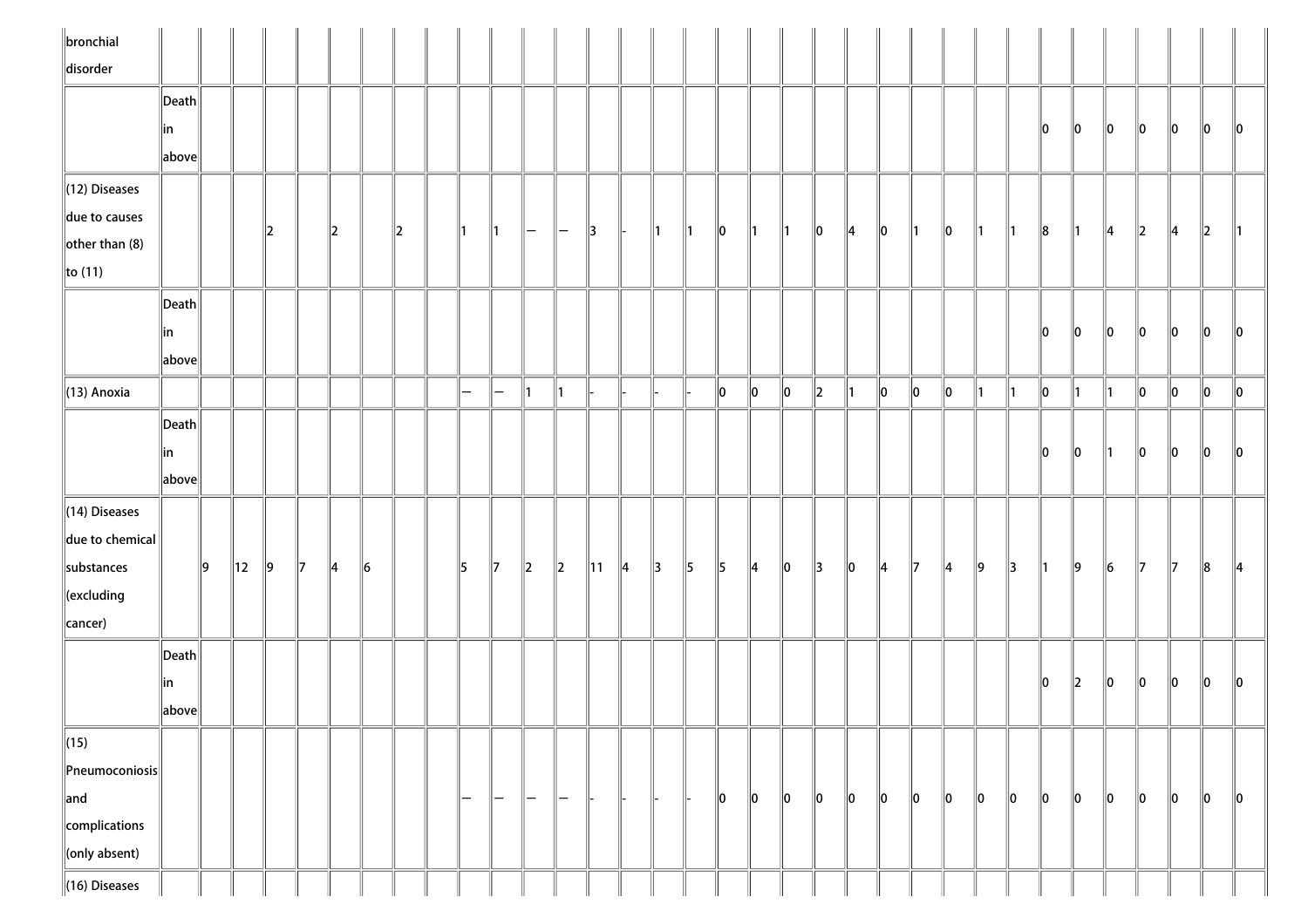| $\ $ bronchial              |                                      |     |                |     |               |               |         |         |                   |                   |                          |               |                |               |               |               |               |               |               |               |               |               |               |         |    |               |         |               |           |         |         |         |         |
|-----------------------------|--------------------------------------|-----|----------------|-----|---------------|---------------|---------|---------|-------------------|-------------------|--------------------------|---------------|----------------|---------------|---------------|---------------|---------------|---------------|---------------|---------------|---------------|---------------|---------------|---------|----|---------------|---------|---------------|-----------|---------|---------|---------|---------|
| disorder                    |                                      |     |                |     |               |               |         |         |                   |                   |                          |               |                |               |               |               |               |               |               |               |               |               |               |         |    |               |         |               |           |         |         |         |         |
|                             | $\ $ Death $\ $                      |     |                |     |               |               |         |         |                   |                   |                          |               |                |               |               |               |               |               |               |               |               |               |               |         |    |               |         |               |           |         |         |         |         |
|                             | ∥in                                  |     |                |     |               |               |         |         |                   |                   |                          |               |                |               |               |               |               |               |               |               |               |               |               |         |    |               | 10      | 10            | 10        | 10      | 10      | 10      | 10      |
|                             | above                                |     |                |     |               |               |         |         |                   |                   |                          |               |                |               |               |               |               |               |               |               |               |               |               |         |    |               |         |               |           |         |         |         |         |
| $\ $ (12) Diseases          |                                      |     |                |     |               |               |         |         |                   |                   |                          |               |                |               |               |               |               |               |               |               |               |               |               |         |    |               |         |               |           |         |         |         |         |
| due to causes               |                                      |     |                | 2   |               | 2             |         | $\ 2\ $ |                   | $\parallel$ 1     | $-$                      | $\overline{}$ | $\parallel$ 3  | H-            | $\parallel$ 1 | $\parallel$ 1 | $\parallel$ 0 | $\parallel$ 1 | $\parallel$ 1 | $ 0\rangle$   | $\parallel$ 4 | $ 0\rangle$   | $\parallel$ 1 | 10      | ∥1 | $\parallel$ 1 | 8       | 11            | 14        | 12      | 4       | $\ 2\ $ |         |
| $\left\Vert$ other than (8) |                                      |     |                |     |               |               |         |         |                   |                   |                          |               |                |               |               |               |               |               |               |               |               |               |               |         |    |               |         |               |           |         |         |         |         |
| $\ $ to (11)                |                                      |     |                |     |               |               |         |         |                   |                   |                          |               |                |               |               |               |               |               |               |               |               |               |               |         |    |               |         |               |           |         |         |         |         |
|                             | $\ $ Death $\ $                      |     |                |     |               |               |         |         |                   |                   |                          |               |                |               |               |               |               |               |               |               |               |               |               |         |    |               |         |               |           |         |         |         |         |
|                             | ∥in                                  |     |                |     |               |               |         |         |                   |                   |                          |               |                |               |               |               |               |               |               |               |               |               |               |         |    |               | 10      | 10            | 10        | 10      | 10      | 10      | 10      |
|                             | $\left\Vert \text{above}\right\Vert$ |     |                |     |               |               |         |         |                   |                   |                          |               |                |               |               |               |               |               |               |               |               |               |               |         |    |               |         |               |           |         |         |         |         |
| $\parallel$ (13) Anoxia     |                                      |     |                |     |               |               |         |         | $\qquad \qquad =$ | $\qquad \qquad -$ | 11                       | $\parallel$ 1 |                |               |               |               | 0             | $\ 0\ $       | $\ 0\ $       | $\ 2\ $       | $\parallel$ 1 | $\ 0\ $       | $ 0\rangle$   | $\ 0\ $ | 11 | $\vert$ 1     | $\ 0\ $ | 11            | 11        | $\ 0\ $ | $\ 0\ $ | $\ 0\ $ | $\ 0\ $ |
|                             | $\vert$ Death $\vert$                |     |                |     |               |               |         |         |                   |                   |                          |               |                |               |               |               |               |               |               |               |               |               |               |         |    |               |         |               |           |         |         |         |         |
|                             | ∥in                                  |     |                |     |               |               |         |         |                   |                   |                          |               |                |               |               |               |               |               |               |               |               |               |               |         |    |               | llo.    | 10            | 11        | 10      | 10      | 10      | llo     |
|                             | above                                |     |                |     |               |               |         |         |                   |                   |                          |               |                |               |               |               |               |               |               |               |               |               |               |         |    |               |         |               |           |         |         |         |         |
| $\parallel$ (14) Diseases   |                                      |     |                |     |               |               |         |         |                   |                   |                          |               |                |               |               |               |               |               |               |               |               |               |               |         |    |               |         |               |           |         |         |         |         |
| $\ $ due to chemical $\ $   |                                      |     |                |     |               |               |         |         |                   |                   |                          |               |                |               |               |               |               |               |               |               |               |               |               |         |    |               |         |               |           |         |         |         |         |
| substances                  |                                      | ∥9∶ | $\parallel$ 12 | ∥9∶ | $\parallel$ 7 | $\parallel$ 4 | $\ 6\ $ |         | 15                | $\parallel$ 7     | $\parallel$ <sub>2</sub> | $\ 2\ $       | $\parallel$ 11 | $\parallel$ 4 | $\parallel$ 3 | $\parallel$ 5 | $\parallel$   | $\parallel$ 4 | $ 0\rangle$   | $\parallel$ 3 | $ 0\rangle$   | $\parallel$ 4 | $\mathbb{Z}$  | 14      | ∥9 | 13            | ∥1∶     | ∥9            | $\vert$ 6 | 17      | 17      | $\ 8$   | 14      |
| $\ $ (excluding             |                                      |     |                |     |               |               |         |         |                   |                   |                          |               |                |               |               |               |               |               |               |               |               |               |               |         |    |               |         |               |           |         |         |         |         |
| cancer)                     |                                      |     |                |     |               |               |         |         |                   |                   |                          |               |                |               |               |               |               |               |               |               |               |               |               |         |    |               |         |               |           |         |         |         |         |
|                             | Death                                |     |                |     |               |               |         |         |                   |                   |                          |               |                |               |               |               |               |               |               |               |               |               |               |         |    |               |         |               |           |         |         |         |         |
|                             | in                                   |     |                |     |               |               |         |         |                   |                   |                          |               |                |               |               |               |               |               |               |               |               |               |               |         |    |               | 10      | $\parallel$ 2 | 10        | 10      | 10      | llo     | llo     |
|                             | above                                |     |                |     |               |               |         |         |                   |                   |                          |               |                |               |               |               |               |               |               |               |               |               |               |         |    |               |         |               |           |         |         |         |         |
| $\ $ (15)                   |                                      |     |                |     |               |               |         |         |                   |                   |                          |               |                |               |               |               |               |               |               |               |               |               |               |         |    |               |         |               |           |         |         |         |         |
| $\ $ Pneumoconiosis $\ $    |                                      |     |                |     |               |               |         |         |                   |                   |                          |               |                |               |               |               |               |               |               |               |               |               |               |         |    |               |         |               |           |         |         |         |         |
| $\parallel$ and             |                                      |     |                |     |               |               |         |         | $\qquad \qquad -$ | $-$               | $-$                      | $\overline{}$ |                |               |               |               | $\ 0\ $       | $\ 0\ $       | $\ 0\ $       | $\ 0\ $       | $\ 0\ $       | 10            | 10            | $\ 0\ $ | 10 | 10            | 10      | 10            | 10        | 10      | 0       | $\ 0\ $ | $\ 0\ $ |
| complications               |                                      |     |                |     |               |               |         |         |                   |                   |                          |               |                |               |               |               |               |               |               |               |               |               |               |         |    |               |         |               |           |         |         |         |         |
| $\ $ (only absent)          |                                      |     |                |     |               |               |         |         |                   |                   |                          |               |                |               |               |               |               |               |               |               |               |               |               |         |    |               |         |               |           |         |         |         |         |
| $\ $ (16) Diseases          |                                      |     |                |     |               |               |         |         |                   |                   |                          |               |                |               |               |               |               |               |               |               |               |               |               |         |    |               |         |               |           |         |         |         |         |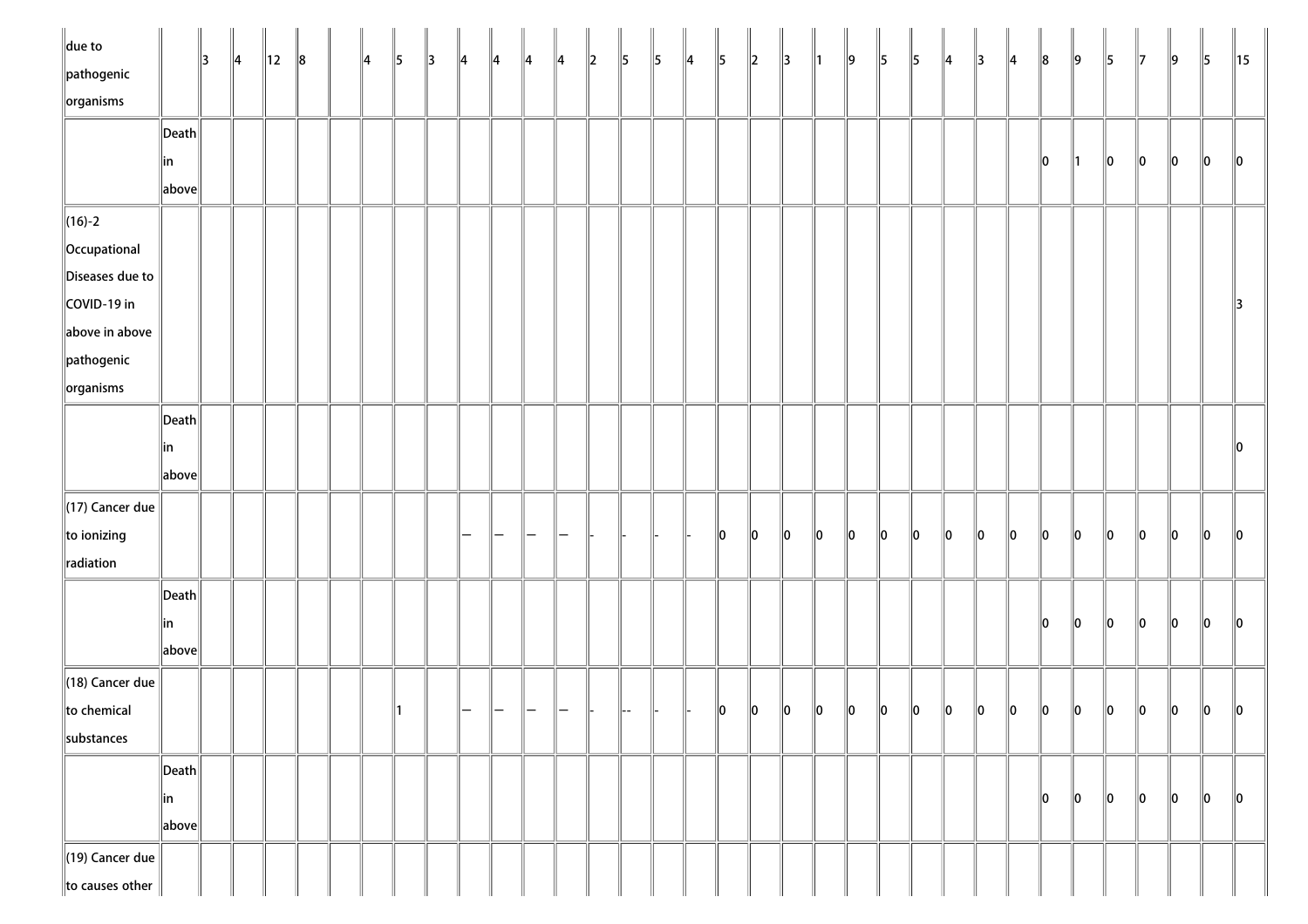| $\ $ due to<br>pathogenic<br>$\left\Vert$ organisms |                                        | $\parallel$ 3 | $\parallel$ 4 | $\parallel$ 12 | $\ 8$ | ∥4 | $\parallel$ 5 | $\parallel$ 3 | $\parallel$ 4 | $\parallel$ 4 | $\parallel$ 4 | $\parallel$ 4 | $\vert$ 2 | $\parallel$ 5 | $\parallel$ 5 | $\parallel$ 4 | $\parallel$ | $\ 2\ $ | $\parallel$ 3 | $\parallel$ 1 | $\parallel$ 9 | $\parallel$ 5 | $\parallel$ 5 | $\parallel$ 4 | $\parallel$ 3 | $\parallel$ 4 | $\ 8$   | $\parallel$ 9 | $\parallel$ 5 | $\parallel$ 7 | 9             | $\parallel$ 5 | $\parallel$ 15 |
|-----------------------------------------------------|----------------------------------------|---------------|---------------|----------------|-------|----|---------------|---------------|---------------|---------------|---------------|---------------|-----------|---------------|---------------|---------------|-------------|---------|---------------|---------------|---------------|---------------|---------------|---------------|---------------|---------------|---------|---------------|---------------|---------------|---------------|---------------|----------------|
|                                                     | $\left\Vert \mathsf{Death}\right\Vert$ |               |               |                |       |    |               |               |               |               |               |               |           |               |               |               |             |         |               |               |               |               |               |               |               |               |         |               |               |               |               |               |                |
|                                                     | ∥in                                    |               |               |                |       |    |               |               |               |               |               |               |           |               |               |               |             |         |               |               |               |               |               |               |               |               | 10      | $\parallel$ 1 | $\ 0\ $       | $\ 0\ $       | $\ 0\ $       | $\ 0\ $       | $\ 0\ $        |
|                                                     | above                                  |               |               |                |       |    |               |               |               |               |               |               |           |               |               |               |             |         |               |               |               |               |               |               |               |               |         |               |               |               |               |               |                |
| $\ $ (16)-2                                         |                                        |               |               |                |       |    |               |               |               |               |               |               |           |               |               |               |             |         |               |               |               |               |               |               |               |               |         |               |               |               |               |               |                |
| Occupational                                        |                                        |               |               |                |       |    |               |               |               |               |               |               |           |               |               |               |             |         |               |               |               |               |               |               |               |               |         |               |               |               |               |               |                |
| Diseases due to                                     |                                        |               |               |                |       |    |               |               |               |               |               |               |           |               |               |               |             |         |               |               |               |               |               |               |               |               |         |               |               |               |               |               |                |
| COVID-19 in                                         |                                        |               |               |                |       |    |               |               |               |               |               |               |           |               |               |               |             |         |               |               |               |               |               |               |               |               |         |               |               |               |               |               | $\parallel$ 3  |
| above in above                                      |                                        |               |               |                |       |    |               |               |               |               |               |               |           |               |               |               |             |         |               |               |               |               |               |               |               |               |         |               |               |               |               |               |                |
| $\parallel$ pathogenic                              |                                        |               |               |                |       |    |               |               |               |               |               |               |           |               |               |               |             |         |               |               |               |               |               |               |               |               |         |               |               |               |               |               |                |
| $\sqrt{\frac{1}{10}}$ organisms                     |                                        |               |               |                |       |    |               |               |               |               |               |               |           |               |               |               |             |         |               |               |               |               |               |               |               |               |         |               |               |               |               |               |                |
|                                                     | $\left\Vert \mathsf{Death}\right\Vert$ |               |               |                |       |    |               |               |               |               |               |               |           |               |               |               |             |         |               |               |               |               |               |               |               |               |         |               |               |               |               |               |                |
|                                                     | in                                     |               |               |                |       |    |               |               |               |               |               |               |           |               |               |               |             |         |               |               |               |               |               |               |               |               |         |               |               |               |               |               | $\parallel$ 0  |
|                                                     | $\ $ above $\ $                        |               |               |                |       |    |               |               |               |               |               |               |           |               |               |               |             |         |               |               |               |               |               |               |               |               |         |               |               |               |               |               |                |
| $\parallel$ (17) Cancer due                         |                                        |               |               |                |       |    |               |               |               |               |               |               |           |               |               |               |             |         |               |               |               |               |               |               |               |               |         |               |               |               |               |               |                |
| to ionizing                                         |                                        |               |               |                |       |    |               |               |               |               |               |               |           |               |               |               | 10          | 10      | $\ 0\ $       | $\ 0\ $       | $\ 0\ $       | $ 0\rangle$   | $ 0\rangle$   | $\ 0\ $       | 0             | $\ 0\ $       | $\ 0\ $ | $\ 0\ $       | $\ 0\ $       | $\ 0\ $       | $\ 0\ $       | $\ 0\ $       | $\ 0\ $        |
| radiation                                           |                                        |               |               |                |       |    |               |               |               |               |               |               |           |               |               |               |             |         |               |               |               |               |               |               |               |               |         |               |               |               |               |               |                |
|                                                     | $\left\Vert \mathsf{Death}\right\Vert$ |               |               |                |       |    |               |               |               |               |               |               |           |               |               |               |             |         |               |               |               |               |               |               |               |               |         |               |               |               |               |               |                |
|                                                     | in                                     |               |               |                |       |    |               |               |               |               |               |               |           |               |               |               |             |         |               |               |               |               |               |               |               |               | 10      | $\ 0\ $       | $\ 0\ $       | $\ 0\ $       | $\ 0\ $       | $\ 0\ $       | $\ 0\ $        |
|                                                     | $\ $ above $\ $                        |               |               |                |       |    |               |               |               |               |               |               |           |               |               |               |             |         |               |               |               |               |               |               |               |               |         |               |               |               |               |               |                |
| $\parallel$ (18) Cancer due                         |                                        |               |               |                |       |    |               |               |               |               |               |               |           |               |               |               |             |         |               |               |               |               |               |               |               |               |         |               |               |               |               |               |                |
| to chemical                                         |                                        |               |               |                |       |    |               |               |               |               |               |               |           |               |               |               | $\ 0\ $     | $\ 0\ $ | $\ 0\ $       | $\ 0\ $       | $\ 0\ $       | $\ 0\ $       | $\ 0\ $       | $\ 0\ $       | $\ 0\ $       | $\ 0\ $       | $\ 0\ $ | $\ 0\ $       | $\ 0\ $       | $\ 0\ $       | $\ 0\ $       | $\ 0\ $       | $\ 0\ $        |
| substances                                          |                                        |               |               |                |       |    |               |               |               |               |               |               |           |               |               |               |             |         |               |               |               |               |               |               |               |               |         |               |               |               |               |               |                |
|                                                     | $\left\Vert \mathsf{Death}\right\Vert$ |               |               |                |       |    |               |               |               |               |               |               |           |               |               |               |             |         |               |               |               |               |               |               |               |               |         |               |               |               |               |               |                |
|                                                     | in                                     |               |               |                |       |    |               |               |               |               |               |               |           |               |               |               |             |         |               |               |               |               |               |               |               |               | 10      | 10            | 10            | 10            | $\parallel$ 0 | $\parallel$ 0 | $\ 0\ $        |
|                                                     | $\ $ above $\ $                        |               |               |                |       |    |               |               |               |               |               |               |           |               |               |               |             |         |               |               |               |               |               |               |               |               |         |               |               |               |               |               |                |
| $\parallel$ (19) Cancer due                         |                                        |               |               |                |       |    |               |               |               |               |               |               |           |               |               |               |             |         |               |               |               |               |               |               |               |               |         |               |               |               |               |               |                |
| to causes other                                     |                                        |               |               |                |       |    |               |               |               |               |               |               |           |               |               |               |             |         |               |               |               |               |               |               |               |               |         |               |               |               |               |               |                |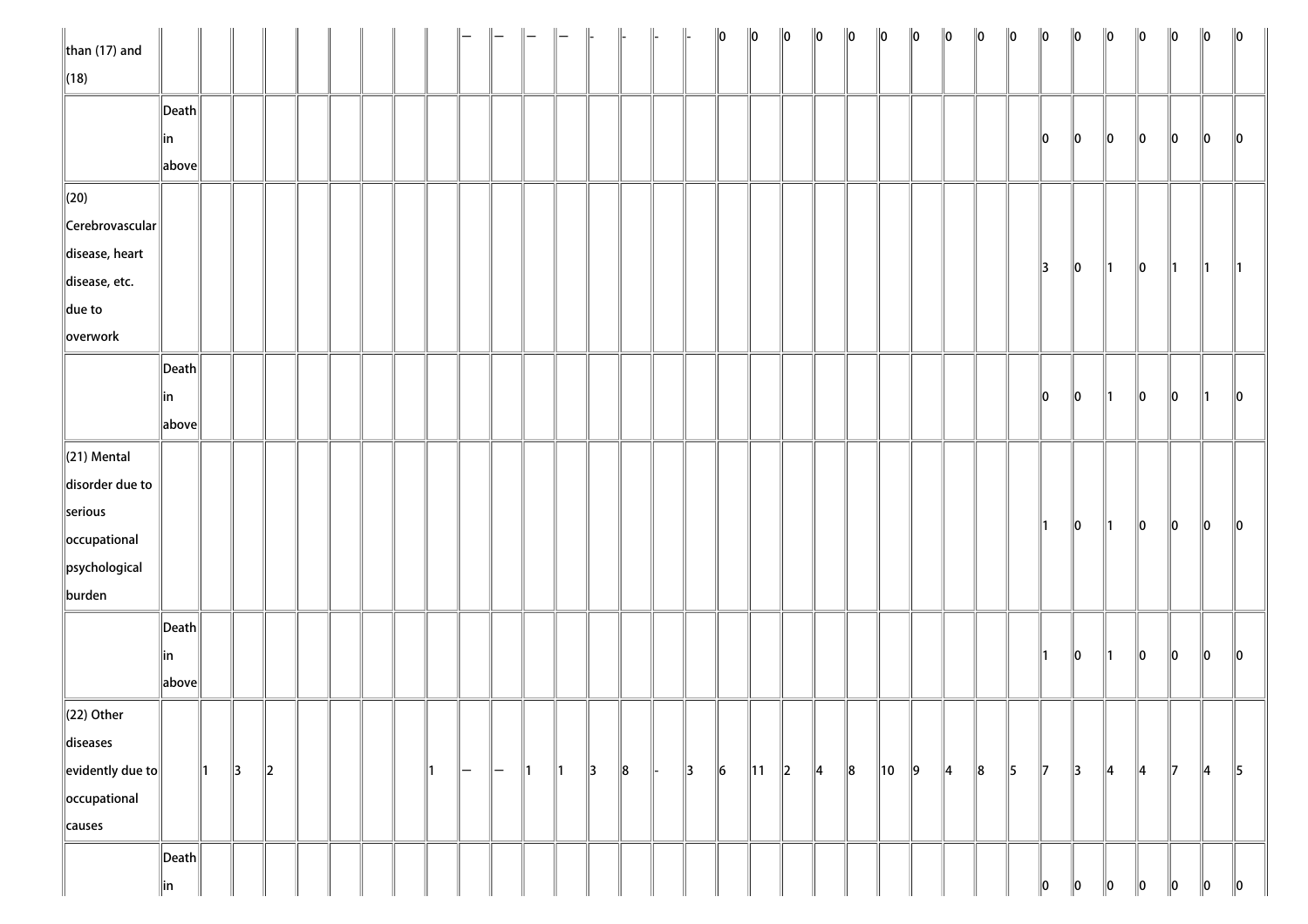| than $(17)$ and                             |                                        |     |               |               |  |  |    |     |                   |    |               | $\parallel$   | $\parallel$ | $\parallel$   | $\ 0\ $   | $\ 0\ $        | $\ 0\ $ | $\ 0\ $       | $\ 0\ $ | $\ 0\ $        | $\ 0\ $       | $\ 0\ $       | $\ 0\ $ | $\ 0\ $       | $\ 0\ $       | $\ 0\ $       | $\ 0\ $       | $\ 0\ $       | $\ 0\ $       | $\ 0\ $       | $\ 0\ $       |
|---------------------------------------------|----------------------------------------|-----|---------------|---------------|--|--|----|-----|-------------------|----|---------------|---------------|-------------|---------------|-----------|----------------|---------|---------------|---------|----------------|---------------|---------------|---------|---------------|---------------|---------------|---------------|---------------|---------------|---------------|---------------|
| $\ $ (18)                                   |                                        |     |               |               |  |  |    |     |                   |    |               |               |             |               |           |                |         |               |         |                |               |               |         |               |               |               |               |               |               |               |               |
|                                             | $\ $ Death $\ $                        |     |               |               |  |  |    |     |                   |    |               |               |             |               |           |                |         |               |         |                |               |               |         |               |               |               |               |               |               |               |               |
|                                             | ∥in                                    |     |               |               |  |  |    |     |                   |    |               |               |             |               |           |                |         |               |         |                |               |               |         |               | 10            | $\ 0\ $       | $\ 0\ $       | $\ 0\ $       | $\ 0\ $       | $\ 0\ $       | $\ 0\ $       |
|                                             | $\ $ above $\ $                        |     |               |               |  |  |    |     |                   |    |               |               |             |               |           |                |         |               |         |                |               |               |         |               |               |               |               |               |               |               |               |
| $\ $ (20)                                   |                                        |     |               |               |  |  |    |     |                   |    |               |               |             |               |           |                |         |               |         |                |               |               |         |               |               |               |               |               |               |               |               |
| Cerebrovascular                             |                                        |     |               |               |  |  |    |     |                   |    |               |               |             |               |           |                |         |               |         |                |               |               |         |               |               |               |               |               |               |               |               |
| disease, heart                              |                                        |     |               |               |  |  |    |     |                   |    |               |               |             |               |           |                |         |               |         |                |               |               |         |               |               |               |               |               |               |               |               |
| disease, etc.                               |                                        |     |               |               |  |  |    |     |                   |    |               |               |             |               |           |                |         |               |         |                |               |               |         |               | $\parallel$ 3 | $\ 0\ $       | $\parallel$ 1 | $\ 0\ $       | $\parallel$ 1 | $\parallel$ 1 | $\parallel$ 1 |
| $\ $ due to                                 |                                        |     |               |               |  |  |    |     |                   |    |               |               |             |               |           |                |         |               |         |                |               |               |         |               |               |               |               |               |               |               |               |
| overwork                                    |                                        |     |               |               |  |  |    |     |                   |    |               |               |             |               |           |                |         |               |         |                |               |               |         |               |               |               |               |               |               |               |               |
|                                             | $\vert$ Death $\vert$                  |     |               |               |  |  |    |     |                   |    |               |               |             |               |           |                |         |               |         |                |               |               |         |               |               |               |               |               |               |               |               |
|                                             | ∥in                                    |     |               |               |  |  |    |     |                   |    |               |               |             |               |           |                |         |               |         |                |               |               |         |               | 10            | $\ 0\ $       | $\parallel$ 1 | $ 0\rangle$   | $\ 0\ $       | $\parallel$ 1 | $\ 0\ $       |
|                                             | above                                  |     |               |               |  |  |    |     |                   |    |               |               |             |               |           |                |         |               |         |                |               |               |         |               |               |               |               |               |               |               |               |
| $\ $ (21) Mental                            |                                        |     |               |               |  |  |    |     |                   |    |               |               |             |               |           |                |         |               |         |                |               |               |         |               |               |               |               |               |               |               |               |
| disorder due to                             |                                        |     |               |               |  |  |    |     |                   |    |               |               |             |               |           |                |         |               |         |                |               |               |         |               |               |               |               |               |               |               |               |
| serious                                     |                                        |     |               |               |  |  |    |     |                   |    |               |               |             |               |           |                |         |               |         |                |               |               |         |               |               |               |               |               |               |               |               |
| occupational                                |                                        |     |               |               |  |  |    |     |                   |    |               |               |             |               |           |                |         |               |         |                |               |               |         |               | $\parallel$ 1 | $\ 0\ $       | $\parallel$ 1 | $\ 0\ $       | $\ 0\ $       | $\ 0\ $       | $\ 0\ $       |
| $\ $ psychological                          |                                        |     |               |               |  |  |    |     |                   |    |               |               |             |               |           |                |         |               |         |                |               |               |         |               |               |               |               |               |               |               |               |
| burden                                      |                                        |     |               |               |  |  |    |     |                   |    |               |               |             |               |           |                |         |               |         |                |               |               |         |               |               |               |               |               |               |               |               |
|                                             | $\left\Vert \mathsf{Death}\right\Vert$ |     |               |               |  |  |    |     |                   |    |               |               |             |               |           |                |         |               |         |                |               |               |         |               |               |               |               |               |               |               |               |
|                                             | in                                     |     |               |               |  |  |    |     |                   |    |               |               |             |               |           |                |         |               |         |                |               |               |         |               | $\parallel$ 1 | $\ 0\ $       | $\parallel$ 1 | $\ 0\ $       | $\ 0\ $       | $\ 0\ $       | $\ 0\ $       |
|                                             | above                                  |     |               |               |  |  |    |     |                   |    |               |               |             |               |           |                |         |               |         |                |               |               |         |               |               |               |               |               |               |               |               |
| $\ $ (22) Other                             |                                        |     |               |               |  |  |    |     |                   |    |               |               |             |               |           |                |         |               |         |                |               |               |         |               |               |               |               |               |               |               |               |
| diseases                                    |                                        |     |               |               |  |  |    |     |                   |    |               |               |             |               |           |                |         |               |         |                |               |               |         |               |               |               |               |               |               |               |               |
| $\left\Vert$ evidently due to $\right\Vert$ |                                        | ∥1. | $\parallel$ 3 | $\parallel$ 2 |  |  | ∥1 | $-$ | $\qquad \qquad -$ | ∥1 | $\parallel$ 1 | $\parallel$ 3 | $\ 8$       | $\parallel$ 3 | $\vert$ 6 | $\parallel$ 11 | $\ 2\ $ | $\parallel$ 4 | $\ 8$   | $\parallel$ 10 | $\parallel$ 9 | $\parallel$ 4 | $\ 8$   | $\parallel$ 5 | $\parallel$ 7 | $\parallel$ 3 | $\parallel$ 4 | $\parallel$ 4 | $\parallel$ 7 | $\parallel$ 4 | $\parallel$ 5 |
| occupational                                |                                        |     |               |               |  |  |    |     |                   |    |               |               |             |               |           |                |         |               |         |                |               |               |         |               |               |               |               |               |               |               |               |
| ∥causes                                     |                                        |     |               |               |  |  |    |     |                   |    |               |               |             |               |           |                |         |               |         |                |               |               |         |               |               |               |               |               |               |               |               |
|                                             | $\ $ Death $\ $                        |     |               |               |  |  |    |     |                   |    |               |               |             |               |           |                |         |               |         |                |               |               |         |               |               |               |               |               |               |               |               |
|                                             | in                                     |     |               |               |  |  |    |     |                   |    |               |               |             |               |           |                |         |               |         |                |               |               |         |               | 10            | 10            | 10            | 10            | 10            | 10            | $\ 0\ $       |